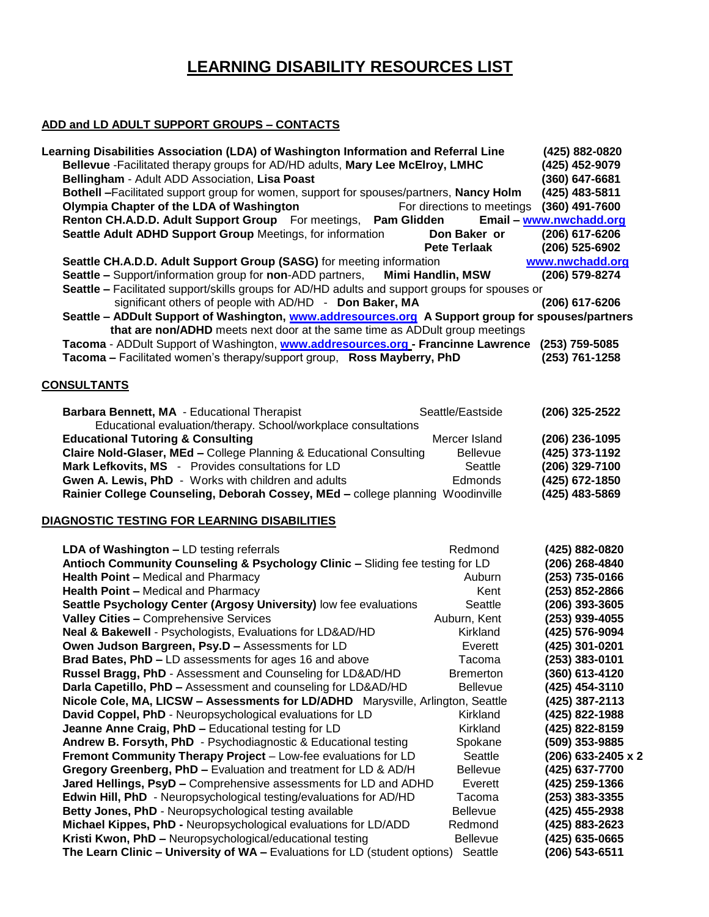# **LEARNING DISABILITY RESOURCES LIST**

#### **ADD and LD ADULT SUPPORT GROUPS – CONTACTS**

| Learning Disabilities Association (LDA) of Washington Information and Referral Line<br>Bellevue - Facilitated therapy groups for AD/HD adults, Mary Lee McElroy, LMHC | (425) 882-0820<br>(425) 452-9079   |
|-----------------------------------------------------------------------------------------------------------------------------------------------------------------------|------------------------------------|
| Bellingham - Adult ADD Association, Lisa Poast                                                                                                                        | $(360)$ 647-6681                   |
| Bothell -Facilitated support group for women, support for spouses/partners, Nancy Holm<br>Olympia Chapter of the LDA of Washington<br>For directions to meetings      | (425) 483-5811<br>$(360)$ 491-7600 |
| Renton CH.A.D.D. Adult Support Group For meetings,<br>Pam Glidden                                                                                                     | Email - www.nwchadd.org            |
| Seattle Adult ADHD Support Group Meetings, for information<br>Don Baker or                                                                                            | (206) 617-6206                     |
| <b>Pete Terlaak</b>                                                                                                                                                   | (206) 525-6902                     |
| Seattle CH.A.D.D. Adult Support Group (SASG) for meeting information                                                                                                  | www.nwchadd.org                    |
| <b>Seattle –</b> Support/information group for <b>non-ADD</b> partners,<br><b>Mimi Handlin, MSW</b>                                                                   | (206) 579-8274                     |
| Seattle - Facilitated support/skills groups for AD/HD adults and support groups for spouses or                                                                        |                                    |
| significant others of people with AD/HD - Don Baker, MA                                                                                                               | (206) 617-6206                     |
| Seattle - ADDult Support of Washington, www.addresources.org A Support group for spouses/partners                                                                     |                                    |
| that are non/ADHD meets next door at the same time as ADDult group meetings                                                                                           |                                    |
| Tacoma - ADDult Support of Washington, www.addresources.org - Francinne Lawrence                                                                                      | (253) 759-5085                     |
| Tacoma - Facilitated women's therapy/support group, Ross Mayberry, PhD                                                                                                | (253) 761-1258                     |
|                                                                                                                                                                       |                                    |
| <b>CONSULTANTS</b>                                                                                                                                                    |                                    |
| Barbara Bennett, MA - Educational Therapist<br>Seattle/Eastside<br>Educational evaluation/therapy. School/workplace consultations                                     | (206) 325-2522                     |
| <b>Educational Tutoring &amp; Consulting</b><br>Mercer Island                                                                                                         | (206) 236-1095                     |
| Claire Nold-Glaser, MEd - College Planning & Educational Consulting<br><b>Bellevue</b>                                                                                | (425) 373-1192                     |
| Mark Lefkovits, MS - Provides consultations for LD<br>Seattle                                                                                                         | (206) 329-7100                     |
| Gwen A. Lewis, PhD - Works with children and adults<br>Edmonds                                                                                                        | (425) 672-1850                     |
| Rainier College Counseling, Deborah Cossey, MEd - college planning Woodinville                                                                                        | (425) 483-5869                     |
| DIAGNOSTIC TESTING FOR LEARNING DISABILITIES                                                                                                                          |                                    |
| LDA of Washington - LD testing referrals<br>Redmond                                                                                                                   | (425) 882-0820                     |
| Antioch Community Counseling & Psychology Clinic - Sliding fee testing for LD                                                                                         | (206) 268-4840                     |
| Health Point - Medical and Pharmacy<br>Auburn                                                                                                                         | (253) 735-0166                     |
| <b>Health Point - Medical and Pharmacy</b><br>Kent                                                                                                                    | (253) 852-2866                     |
| Seattle Psychology Center (Argosy University) low fee evaluations<br>Seattle                                                                                          | (206) 393-3605                     |
| Valley Cities - Comprehensive Services<br>Auburn, Kent                                                                                                                | (253) 939-4055                     |
| Neal & Bakewell - Psychologists, Evaluations for LD&AD/HD<br>Kirkland                                                                                                 | (425) 576-9094                     |
| Owen Judson Bargreen, Psy.D - Assessments for LD<br>Everett                                                                                                           | (425) 301-0201                     |
| Brad Bates, PhD - LD assessments for ages 16 and above<br>Tacoma                                                                                                      | (253) 383-0101                     |
| Russel Bragg, PhD - Assessment and Counseling for LD&AD/HD<br><b>Bremerton</b>                                                                                        | (360) 613-4120                     |
| Darla Capetillo, PhD - Assessment and counseling for LD&AD/HD<br><b>Bellevue</b>                                                                                      | (425) 454-3110                     |
| Nicole Cole, MA, LICSW - Assessments for LD/ADHD Marysville, Arlington, Seattle                                                                                       | (425) 387-2113                     |
| David Coppel, PhD - Neuropsychological evaluations for LD<br>Kirkland                                                                                                 | (425) 822-1988                     |
| Jeanne Anne Craig, PhD - Educational testing for LD<br>Kirkland                                                                                                       | (425) 822-8159                     |
| Andrew B. Forsyth, PhD - Psychodiagnostic & Educational testing<br>Spokane                                                                                            | (509) 353-9885                     |
| Fremont Community Therapy Project - Low-fee evaluations for LD<br>Seattle                                                                                             | (206) 633-2405 x 2                 |
| Gregory Greenberg, PhD - Evaluation and treatment for LD & AD/H<br>Bellevue                                                                                           | (425) 637-7700                     |
| Jared Hellings, PsyD - Comprehensive assessments for LD and ADHD<br>Everett                                                                                           | (425) 259-1366                     |
| Edwin Hill, PhD - Neuropsychological testing/evaluations for AD/HD<br>Tacoma                                                                                          | $(253)$ 383-3355                   |
| Betty Jones, PhD - Neuropsychological testing available<br>Bellevue                                                                                                   | (425) 455-2938                     |
| Michael Kippes, PhD - Neuropsychological evaluations for LD/ADD<br>Redmond                                                                                            | (425) 883-2623                     |
| Kristi Kwon, PhD - Neuropsychological/educational testing<br>Bellevue                                                                                                 | (425) 635-0665                     |
| The Learn Clinic - University of WA - Evaluations for LD (student options)<br>Seattle                                                                                 | (206) 543-6511                     |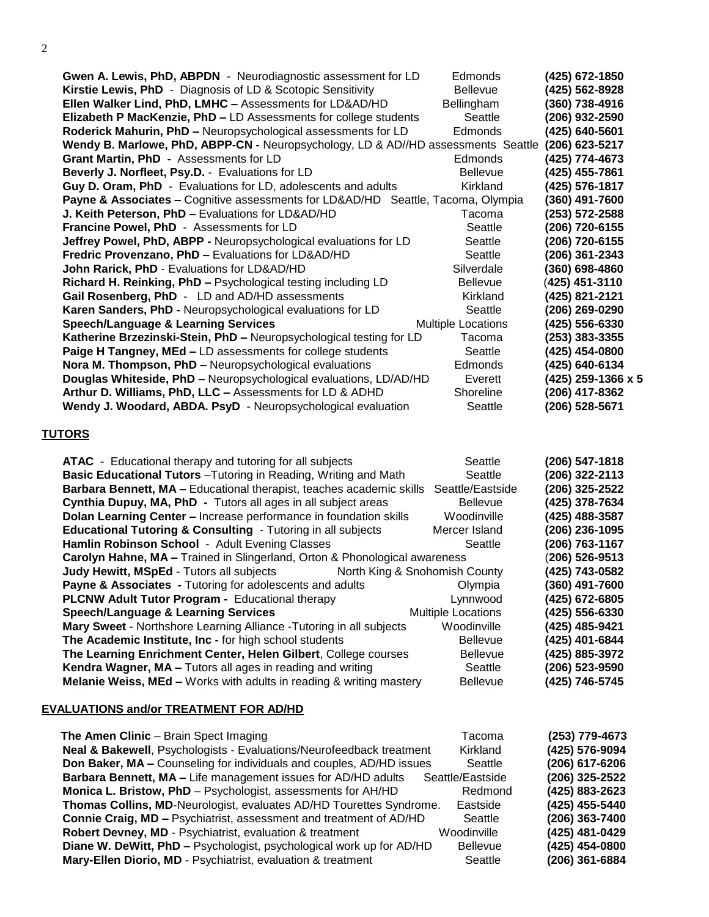2

| Gwen A. Lewis, PhD, ABPDN - Neurodiagnostic assessment for LD                                   | Edmonds                   | (425) 672-1850     |
|-------------------------------------------------------------------------------------------------|---------------------------|--------------------|
| Kirstie Lewis, PhD - Diagnosis of LD & Scotopic Sensitivity                                     | <b>Bellevue</b>           | (425) 562-8928     |
| Ellen Walker Lind, PhD, LMHC - Assessments for LD&AD/HD                                         | Bellingham                | (360) 738-4916     |
| Elizabeth P MacKenzie, PhD - LD Assessments for college students                                | Seattle                   | (206) 932-2590     |
| Roderick Mahurin, PhD - Neuropsychological assessments for LD                                   | Edmonds                   | (425) 640-5601     |
| Wendy B. Marlowe, PhD, ABPP-CN - Neuropsychology, LD & AD//HD assessments Seattle               |                           | (206) 623-5217     |
| Grant Martin, PhD - Assessments for LD                                                          | Edmonds                   | (425) 774-4673     |
| Beverly J. Norfleet, Psy.D. - Evaluations for LD                                                | <b>Bellevue</b>           | (425) 455-7861     |
| Guy D. Oram, PhD - Evaluations for LD, adolescents and adults                                   | Kirkland                  | (425) 576-1817     |
| <b>Payne &amp; Associates – Cognitive assessments for LD&amp;AD/HD</b> Seattle, Tacoma, Olympia |                           | (360) 491-7600     |
| J. Keith Peterson, PhD - Evaluations for LD&AD/HD                                               | Tacoma                    | (253) 572-2588     |
| Francine Powel, PhD - Assessments for LD                                                        | Seattle                   | (206) 720-6155     |
| Jeffrey Powel, PhD, ABPP - Neuropsychological evaluations for LD                                | Seattle                   | (206) 720-6155     |
| Fredric Provenzano, PhD - Evaluations for LD&AD/HD                                              | Seattle                   | (206) 361-2343     |
| John Rarick, PhD - Evaluations for LD&AD/HD                                                     | Silverdale                | (360) 698-4860     |
| Richard H. Reinking, PhD - Psychological testing including LD                                   | <b>Bellevue</b>           | (425) 451-3110     |
| Gail Rosenberg, PhD - LD and AD/HD assessments                                                  | Kirkland                  | (425) 821-2121     |
| Karen Sanders, PhD - Neuropsychological evaluations for LD                                      | Seattle                   | (206) 269-0290     |
| <b>Speech/Language &amp; Learning Services</b>                                                  | <b>Multiple Locations</b> | (425) 556-6330     |
| Katherine Brzezinski-Stein, PhD - Neuropsychological testing for LD                             | Tacoma                    | (253) 383-3355     |
| Paige H Tangney, MEd - LD assessments for college students                                      | Seattle                   | (425) 454-0800     |
| Nora M. Thompson, PhD - Neuropsychological evaluations                                          | Edmonds                   | (425) 640-6134     |
| Douglas Whiteside, PhD - Neuropsychological evaluations, LD/AD/HD                               | Everett                   | (425) 259-1366 x 5 |
| Arthur D. Williams, PhD, LLC - Assessments for LD & ADHD                                        | Shoreline                 | (206) 417-8362     |
| Wendy J. Woodard, ABDA. PsyD - Neuropsychological evaluation                                    | Seattle                   | (206) 528-5671     |
|                                                                                                 |                           |                    |

# **TUTORS**

| <b>ATAC</b> - Educational therapy and tutoring for all subjects                  | Seattle                   | (206) 547-1818 |
|----------------------------------------------------------------------------------|---------------------------|----------------|
| Basic Educational Tutors - Tutoring in Reading, Writing and Math                 | Seattle                   | (206) 322-2113 |
| Barbara Bennett, MA - Educational therapist, teaches academic skills             | Seattle/Eastside          | (206) 325-2522 |
| Cynthia Dupuy, MA, PhD - Tutors all ages in all subject areas                    | <b>Bellevue</b>           | (425) 378-7634 |
| Dolan Learning Center - Increase performance in foundation skills                | Woodinville               | (425) 488-3587 |
| <b>Educational Tutoring &amp; Consulting - Tutoring in all subjects</b>          | Mercer Island             | (206) 236-1095 |
| Hamlin Robinson School - Adult Evening Classes                                   | Seattle                   | (206) 763-1167 |
| Carolyn Hahne, MA - Trained in Slingerland, Orton & Phonological awareness       |                           | (206) 526-9513 |
| <b>Judy Hewitt, MSpEd - Tutors all subjects</b><br>North King & Snohomish County |                           | (425) 743-0582 |
| <b>Payne &amp; Associates - Tutoring for adolescents and adults</b>              | Olympia                   | (360) 491-7600 |
| PLCNW Adult Tutor Program - Educational therapy                                  | Lynnwood                  | (425) 672-6805 |
| <b>Speech/Language &amp; Learning Services</b>                                   | <b>Multiple Locations</b> | (425) 556-6330 |
| Mary Sweet - Northshore Learning Alliance - Tutoring in all subjects             | Woodinville               | (425) 485-9421 |
| The Academic Institute, Inc - for high school students                           | <b>Bellevue</b>           | (425) 401-6844 |
| The Learning Enrichment Center, Helen Gilbert, College courses                   | <b>Bellevue</b>           | (425) 885-3972 |
| Kendra Wagner, MA - Tutors all ages in reading and writing                       | Seattle                   | (206) 523-9590 |
| <b>Melanie Weiss, MEd - Works with adults in reading &amp; writing mastery</b>   | <b>Bellevue</b>           | (425) 746-5745 |

# **EVALUATIONS and/or TREATMENT FOR AD/HD**

| The Amen Clinic - Brain Spect Imaging                                | Tacoma           | (253) 779-4673 |
|----------------------------------------------------------------------|------------------|----------------|
| Neal & Bakewell, Psychologists - Evaluations/Neurofeedback treatment | Kirkland         | (425) 576-9094 |
| Don Baker, MA - Counseling for individuals and couples, AD/HD issues | Seattle          | (206) 617-6206 |
| Barbara Bennett, MA - Life management issues for AD/HD adults        | Seattle/Eastside | (206) 325-2522 |
| Monica L. Bristow, PhD - Psychologist, assessments for AH/HD         | Redmond          | (425) 883-2623 |
| Thomas Collins, MD-Neurologist, evaluates AD/HD Tourettes Syndrome.  | Eastside         | (425) 455-5440 |
| Connie Craig, MD - Psychiatrist, assessment and treatment of AD/HD   | Seattle          | (206) 363-7400 |
| Robert Devney, MD - Psychiatrist, evaluation & treatment             | Woodinville      | (425) 481-0429 |
| Diane W. DeWitt, PhD - Psychologist, psychological work up for AD/HD | <b>Bellevue</b>  | (425) 454-0800 |
| Mary-Ellen Diorio, MD - Psychiatrist, evaluation & treatment         | Seattle          | (206) 361-6884 |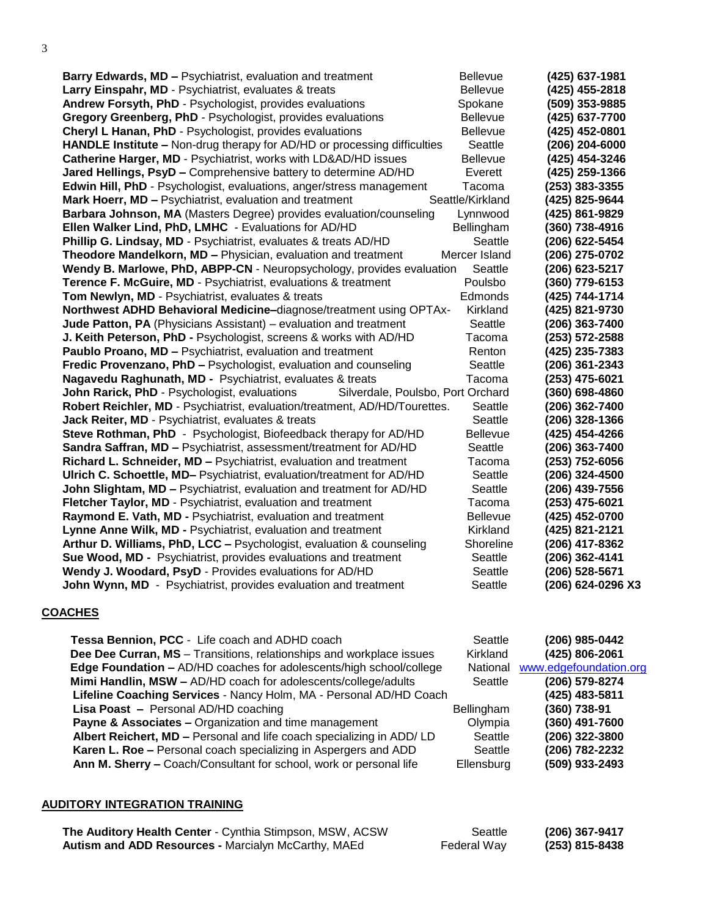3

| <b>Barry Edwards, MD - Psychiatrist, evaluation and treatment</b>                 | <b>Bellevue</b>  | (425) 637-1981     |
|-----------------------------------------------------------------------------------|------------------|--------------------|
| Larry Einspahr, MD - Psychiatrist, evaluates & treats                             | Bellevue         | (425) 455-2818     |
| Andrew Forsyth, PhD - Psychologist, provides evaluations                          | Spokane          | (509) 353-9885     |
| Gregory Greenberg, PhD - Psychologist, provides evaluations                       | <b>Bellevue</b>  | (425) 637-7700     |
| Cheryl L Hanan, PhD - Psychologist, provides evaluations                          | <b>Bellevue</b>  | (425) 452-0801     |
| HANDLE Institute - Non-drug therapy for AD/HD or processing difficulties          | Seattle          | (206) 204-6000     |
| Catherine Harger, MD - Psychiatrist, works with LD&AD/HD issues                   | <b>Bellevue</b>  | (425) 454-3246     |
| Jared Hellings, PsyD - Comprehensive battery to determine AD/HD                   | Everett          | (425) 259-1366     |
| Edwin Hill, PhD - Psychologist, evaluations, anger/stress management              | Tacoma           | (253) 383-3355     |
| Mark Hoerr, MD - Psychiatrist, evaluation and treatment                           | Seattle/Kirkland | (425) 825-9644     |
| Barbara Johnson, MA (Masters Degree) provides evaluation/counseling               | Lynnwood         | (425) 861-9829     |
| Ellen Walker Lind, PhD, LMHC - Evaluations for AD/HD                              | Bellingham       | (360) 738-4916     |
| Phillip G. Lindsay, MD - Psychiatrist, evaluates & treats AD/HD                   | Seattle          | (206) 622-5454     |
| Theodore Mandelkorn, MD - Physician, evaluation and treatment                     | Mercer Island    | (206) 275-0702     |
| Wendy B. Marlowe, PhD, ABPP-CN - Neuropsychology, provides evaluation             | Seattle          | (206) 623-5217     |
| Terence F. McGuire, MD - Psychiatrist, evaluations & treatment                    | Poulsbo          | (360) 779-6153     |
| Tom Newlyn, MD - Psychiatrist, evaluates & treats                                 | Edmonds          | (425) 744-1714     |
| Northwest ADHD Behavioral Medicine-diagnose/treatment using OPTAx-                | Kirkland         | (425) 821-9730     |
| Jude Patton, PA (Physicians Assistant) - evaluation and treatment                 | Seattle          | (206) 363-7400     |
| J. Keith Peterson, PhD - Psychologist, screens & works with AD/HD                 | Tacoma           | (253) 572-2588     |
| Paublo Proano, MD - Psychiatrist, evaluation and treatment                        | Renton           | (425) 235-7383     |
| Fredic Provenzano, PhD - Psychologist, evaluation and counseling                  | Seattle          | (206) 361-2343     |
| Nagavedu Raghunath, MD - Psychiatrist, evaluates & treats                         | Tacoma           | (253) 475-6021     |
| John Rarick, PhD - Psychologist, evaluations<br>Silverdale, Poulsbo, Port Orchard |                  | $(360) 698 - 4860$ |
| Robert Reichler, MD - Psychiatrist, evaluation/treatment, AD/HD/Tourettes.        | Seattle          | (206) 362-7400     |
| Jack Reiter, MD - Psychiatrist, evaluates & treats                                | Seattle          | (206) 328-1366     |
| <b>Steve Rothman, PhD</b> - Psychologist, Biofeedback therapy for AD/HD           | <b>Bellevue</b>  | (425) 454-4266     |
| <b>Sandra Saffran, MD - Psychiatrist, assessment/treatment for AD/HD</b>          | Seattle          | (206) 363-7400     |
| Richard L. Schneider, MD - Psychiatrist, evaluation and treatment                 | Tacoma           | (253) 752-6056     |
| Ulrich C. Schoettle, MD- Psychiatrist, evaluation/treatment for AD/HD             | Seattle          | (206) 324-4500     |
| John Slightam, MD - Psychiatrist, evaluation and treatment for AD/HD              | Seattle          | (206) 439-7556     |
| Fletcher Taylor, MD - Psychiatrist, evaluation and treatment                      | Tacoma           | (253) 475-6021     |
| Raymond E. Vath, MD - Psychiatrist, evaluation and treatment                      | Bellevue         | (425) 452-0700     |
| Lynne Anne Wilk, MD - Psychiatrist, evaluation and treatment                      | Kirkland         | (425) 821-2121     |
| Arthur D. Williams, PhD, LCC - Psychologist, evaluation & counseling              | Shoreline        | (206) 417-8362     |
| Sue Wood, MD - Psychiatrist, provides evaluations and treatment                   | Seattle          | (206) 362-4141     |
| Wendy J. Woodard, PsyD - Provides evaluations for AD/HD                           | Seattle          | (206) 528-5671     |
| John Wynn, MD - Psychiatrist, provides evaluation and treatment                   | Seattle          | (206) 624-0296 X3  |

#### **COACHES**

| Tessa Bennion, PCC - Life coach and ADHD coach                             | Seattle    | (206) 985-0442         |
|----------------------------------------------------------------------------|------------|------------------------|
| Dee Dee Curran, MS - Transitions, relationships and workplace issues       | Kirkland   | (425) 806-2061         |
| <b>Edge Foundation - AD/HD coaches for adolescents/high school/college</b> | National   | www.edgefoundation.org |
| Mimi Handlin, MSW - AD/HD coach for adolescents/college/adults             | Seattle    | (206) 579-8274         |
| Lifeline Coaching Services - Nancy Holm, MA - Personal AD/HD Coach         |            | (425) 483-5811         |
| Lisa Poast - Personal AD/HD coaching                                       | Bellingham | (360) 738-91           |
| <b>Payne &amp; Associates - Organization and time management</b>           | Olympia    | (360) 491-7600         |
| Albert Reichert, MD - Personal and life coach specializing in ADD/ LD      | Seattle    | (206) 322-3800         |
| Karen L. Roe - Personal coach specializing in Aspergers and ADD            | Seattle    | (206) 782-2232         |
| Ann M. Sherry - Coach/Consultant for school, work or personal life         | Ellensburg | (509) 933-2493         |
|                                                                            |            |                        |

## **AUDITORY INTEGRATION TRAINING**

| The Auditory Health Center - Cynthia Stimpson, MSW, ACSW   | Seattle     | (206) 367-9417 |
|------------------------------------------------------------|-------------|----------------|
| <b>Autism and ADD Resources - Marcialyn McCarthy, MAEd</b> | Federal Way | (253) 815-8438 |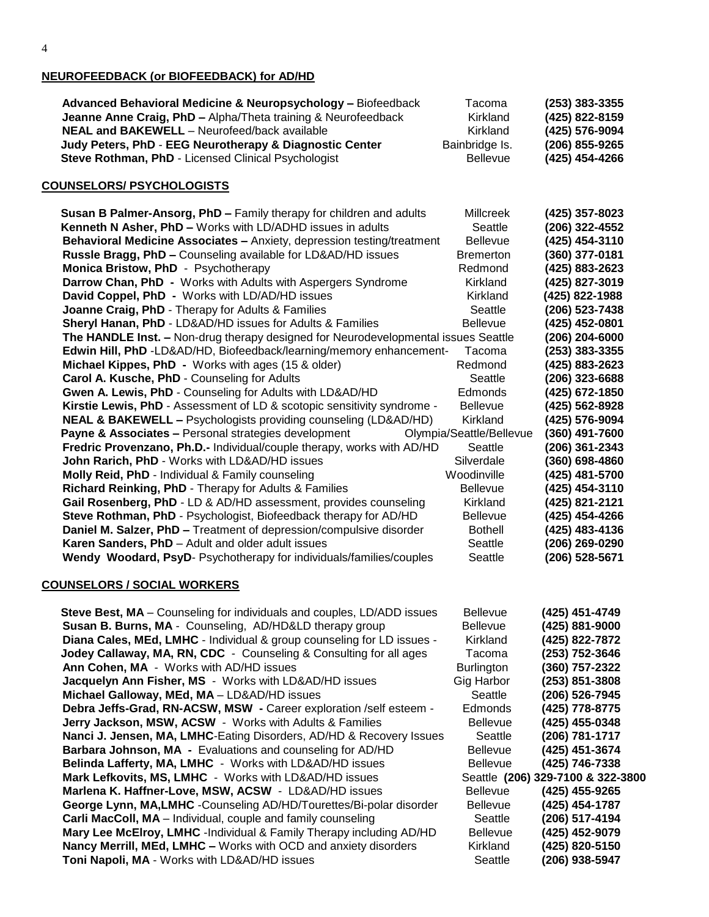## **NEUROFEEDBACK (or BIOFEEDBACK) for AD/HD**

| Advanced Behavioral Medicine & Neuropsychology - Biofeedback  | Tacoma          | (253) 383-3355 |
|---------------------------------------------------------------|-----------------|----------------|
| Jeanne Anne Craig, PhD - Alpha/Theta training & Neurofeedback | Kirkland        | (425) 822-8159 |
| <b>NEAL and BAKEWELL</b> - Neurofeed/back available           | Kirkland        | (425) 576-9094 |
| Judy Peters, PhD - EEG Neurotherapy & Diagnostic Center       | Bainbridge Is.  | (206) 855-9265 |
| Steve Rothman, PhD - Licensed Clinical Psychologist           | <b>Bellevue</b> | (425) 454-4266 |
|                                                               |                 |                |

#### **COUNSELORS/ PSYCHOLOGISTS**

| Susan B Palmer-Ansorg, PhD - Family therapy for children and adults                | Millcreek                | (425) 357-8023 |
|------------------------------------------------------------------------------------|--------------------------|----------------|
| Kenneth N Asher, PhD - Works with LD/ADHD issues in adults                         | Seattle                  | (206) 322-4552 |
| Behavioral Medicine Associates - Anxiety, depression testing/treatment             | <b>Bellevue</b>          | (425) 454-3110 |
| Russle Bragg, PhD - Counseling available for LD&AD/HD issues                       | <b>Bremerton</b>         | (360) 377-0181 |
| Monica Bristow, PhD - Psychotherapy                                                | Redmond                  | (425) 883-2623 |
| Darrow Chan, PhD - Works with Adults with Aspergers Syndrome                       | Kirkland                 | (425) 827-3019 |
| David Coppel, PhD - Works with LD/AD/HD issues                                     | Kirkland                 | (425) 822-1988 |
| Joanne Craig, PhD - Therapy for Adults & Families                                  | Seattle                  | (206) 523-7438 |
| <b>Sheryl Hanan, PhD - LD&amp;AD/HD issues for Adults &amp; Families</b>           | <b>Bellevue</b>          | (425) 452-0801 |
| The HANDLE Inst. - Non-drug therapy designed for Neurodevelopmental issues Seattle |                          | (206) 204-6000 |
| Edwin Hill, PhD -LD&AD/HD, Biofeedback/learning/memory enhancement-                | Tacoma                   | (253) 383-3355 |
| Michael Kippes, PhD - Works with ages (15 & older)                                 | Redmond                  | (425) 883-2623 |
| Carol A. Kusche, PhD - Counseling for Adults                                       | Seattle                  | (206) 323-6688 |
| Gwen A. Lewis, PhD - Counseling for Adults with LD&AD/HD                           | <b>Edmonds</b>           | (425) 672-1850 |
| Kirstie Lewis, PhD - Assessment of LD & scotopic sensitivity syndrome -            | Bellevue                 | (425) 562-8928 |
| <b>NEAL &amp; BAKEWELL - Psychologists providing counseling (LD&amp;AD/HD)</b>     | Kirkland                 | (425) 576-9094 |
| <b>Payne &amp; Associates - Personal strategies development</b>                    | Olympia/Seattle/Bellevue | (360) 491-7600 |
| Fredric Provenzano, Ph.D.- Individual/couple therapy, works with AD/HD             | Seattle                  | (206) 361-2343 |
| John Rarich, PhD - Works with LD&AD/HD issues                                      | Silverdale               | (360) 698-4860 |
| Molly Reid, PhD - Individual & Family counseling                                   | Woodinville              | (425) 481-5700 |
| Richard Reinking, PhD - Therapy for Adults & Families                              | <b>Bellevue</b>          | (425) 454-3110 |
| Gail Rosenberg, PhD - LD & AD/HD assessment, provides counseling                   | Kirkland                 | (425) 821-2121 |
| Steve Rothman, PhD - Psychologist, Biofeedback therapy for AD/HD                   | <b>Bellevue</b>          | (425) 454-4266 |
| Daniel M. Salzer, PhD - Treatment of depression/compulsive disorder                | <b>Bothell</b>           | (425) 483-4136 |
| Karen Sanders, PhD - Adult and older adult issues                                  | Seattle                  | (206) 269-0290 |
| Wendy Woodard, PsyD- Psychotherapy for individuals/families/couples                | Seattle                  | (206) 528-5671 |
|                                                                                    |                          |                |

#### **COUNSELORS / SOCIAL WORKERS**

| Steve Best, MA - Counseling for individuals and couples, LD/ADD issues | <b>Bellevue</b>   | (425) 451-4749                    |
|------------------------------------------------------------------------|-------------------|-----------------------------------|
| Susan B. Burns, MA - Counseling, AD/HD&LD therapy group                | <b>Bellevue</b>   | (425) 881-9000                    |
| Diana Cales, MEd, LMHC - Individual & group counseling for LD issues - | Kirkland          | (425) 822-7872                    |
| Jodey Callaway, MA, RN, CDC - Counseling & Consulting for all ages     | Tacoma            | (253) 752-3646                    |
| Ann Cohen, MA - Works with AD/HD issues                                | <b>Burlington</b> | (360) 757-2322                    |
| Jacquelyn Ann Fisher, MS - Works with LD&AD/HD issues                  | Gig Harbor        | (253) 851-3808                    |
| Michael Galloway, MEd, MA - LD&AD/HD issues                            | Seattle           | (206) 526-7945                    |
| Debra Jeffs-Grad, RN-ACSW, MSW - Career exploration /self esteem -     | <b>Edmonds</b>    | (425) 778-8775                    |
| Jerry Jackson, MSW, ACSW - Works with Adults & Families                | <b>Bellevue</b>   | (425) 455-0348                    |
| Nanci J. Jensen, MA, LMHC-Eating Disorders, AD/HD & Recovery Issues    | Seattle           | (206) 781-1717                    |
| Barbara Johnson, MA - Evaluations and counseling for AD/HD             | <b>Bellevue</b>   | (425) 451-3674                    |
| Belinda Lafferty, MA, LMHC - Works with LD&AD/HD issues                | <b>Bellevue</b>   | (425) 746-7338                    |
| Mark Lefkovits, MS, LMHC - Works with LD&AD/HD issues                  |                   | Seattle (206) 329-7100 & 322-3800 |
| Marlena K. Haffner-Love, MSW, ACSW - LD&AD/HD issues                   | <b>Bellevue</b>   | (425) 455-9265                    |
| George Lynn, MA, LMHC - Counseling AD/HD/Tourettes/Bi-polar disorder   | <b>Bellevue</b>   | (425) 454-1787                    |
| Carli MacColl, MA - Individual, couple and family counseling           | Seattle           | (206) 517-4194                    |
| Mary Lee McElroy, LMHC -Individual & Family Therapy including AD/HD    | <b>Bellevue</b>   | (425) 452-9079                    |
| Nancy Merrill, MEd, LMHC - Works with OCD and anxiety disorders        | Kirkland          | (425) 820-5150                    |
| Toni Napoli, MA - Works with LD&AD/HD issues                           | Seattle           | (206) 938-5947                    |
|                                                                        |                   |                                   |